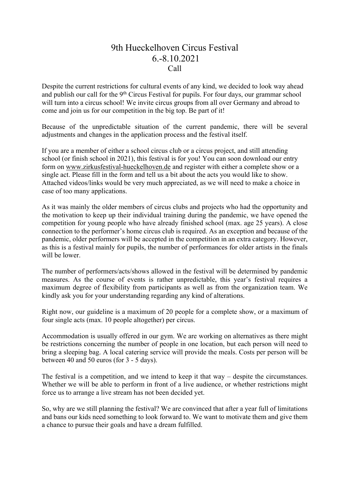## 9th Hueckelhoven Circus Festival 6.-8.10.2021 Call

Despite the current restrictions for cultural events of any kind, we decided to look way ahead and publish our call for the 9<sup>th</sup> Circus Festival for pupils. For four days, our grammar school will turn into a circus school! We invite circus groups from all over Germany and abroad to come and join us for our competition in the big top. Be part of it!

Because of the unpredictable situation of the current pandemic, there will be several adjustments and changes in the application process and the festival itself.

If you are a member of either a school circus club or a circus project, and still attending school (or finish school in 2021), this festival is for you! You can soon download our entry form on www.zirkusfestival-hueckelhoven.de and register with either a complete show or a single act. Please fill in the form and tell us a bit about the acts you would like to show. Attached videos/links would be very much appreciated, as we will need to make a choice in case of too many applications.

As it was mainly the older members of circus clubs and projects who had the opportunity and the motivation to keep up their individual training during the pandemic, we have opened the competition for young people who have already finished school (max. age 25 years). A close connection to the performer's home circus club is required. As an exception and because of the pandemic, older performers will be accepted in the competition in an extra category. However, as this is a festival mainly for pupils, the number of performances for older artists in the finals will be lower.

The number of performers/acts/shows allowed in the festival will be determined by pandemic measures. As the course of events is rather unpredictable, this year's festival requires a maximum degree of flexibility from participants as well as from the organization team. We kindly ask you for your understanding regarding any kind of alterations.

Right now, our guideline is a maximum of 20 people for a complete show, or a maximum of four single acts (max. 10 people altogether) per circus.

Accommodation is usually offered in our gym. We are working on alternatives as there might be restrictions concerning the number of people in one location, but each person will need to bring a sleeping bag. A local catering service will provide the meals. Costs per person will be between 40 and 50 euros (for 3 - 5 days).

The festival is a competition, and we intend to keep it that way – despite the circumstances. Whether we will be able to perform in front of a live audience, or whether restrictions might force us to arrange a live stream has not been decided yet.

So, why are we still planning the festival? We are convinced that after a year full of limitations and bans our kids need something to look forward to. We want to motivate them and give them a chance to pursue their goals and have a dream fulfilled.